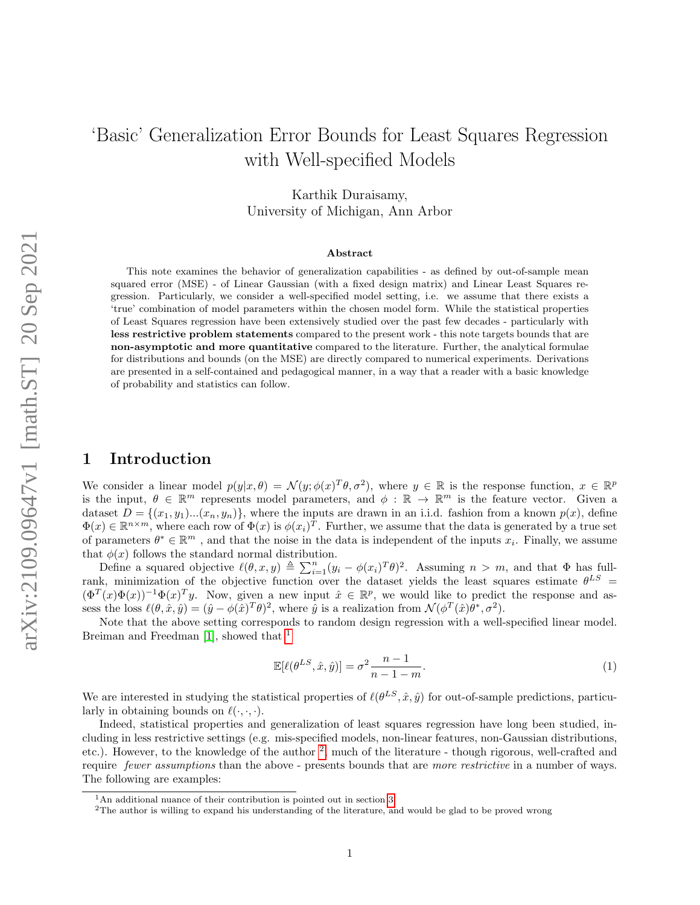# 'Basic' Generalization Error Bounds for Least Squares Regression with Well-specified Models

Karthik Duraisamy, University of Michigan, Ann Arbor

#### Abstract

This note examines the behavior of generalization capabilities - as defined by out-of-sample mean squared error (MSE) - of Linear Gaussian (with a fixed design matrix) and Linear Least Squares regression. Particularly, we consider a well-specified model setting, i.e. we assume that there exists a 'true' combination of model parameters within the chosen model form. While the statistical properties of Least Squares regression have been extensively studied over the past few decades - particularly with less restrictive problem statements compared to the present work - this note targets bounds that are non-asymptotic and more quantitative compared to the literature. Further, the analytical formulae for distributions and bounds (on the MSE) are directly compared to numerical experiments. Derivations are presented in a self-contained and pedagogical manner, in a way that a reader with a basic knowledge of probability and statistics can follow.

# 1 Introduction

We consider a linear model  $p(y|x, \theta) = \mathcal{N}(y; \phi(x)^T \theta, \sigma^2)$ , where  $y \in \mathbb{R}$  is the response function,  $x \in \mathbb{R}^p$ is the input,  $\theta \in \mathbb{R}^m$  represents model parameters, and  $\phi : \mathbb{R} \to \mathbb{R}^m$  is the feature vector. Given a dataset  $D = \{(x_1, y_1)...(x_n, y_n)\}$ , where the inputs are drawn in an i.i.d. fashion from a known  $p(x)$ , define  $\Phi(x) \in \mathbb{R}^{n \times m}$ , where each row of  $\Phi(x)$  is  $\phi(x_i)^T$ . Further, we assume that the data is generated by a true set of parameters  $\theta^* \in \mathbb{R}^m$ , and that the noise in the data is independent of the inputs  $x_i$ . Finally, we assume that  $\phi(x)$  follows the standard normal distribution.

Define a squared objective  $\ell(\theta, x, y) \triangleq \sum_{i=1}^n (y_i - \phi(x_i)^T \theta)^2$ . Assuming  $n > m$ , and that  $\Phi$  has fullrank, minimization of the objective function over the dataset yields the least squares estimate  $\theta^{LS}$  =  $(\Phi^T(x)\Phi(x))^{-1}\Phi(x)^T$ y. Now, given a new input  $\hat{x} \in \mathbb{R}^p$ , we would like to predict the response and assess the loss  $\ell(\theta, \hat{x}, \hat{y}) = (\hat{y} - \phi(\hat{x})^T \theta)^2$ , where  $\hat{y}$  is a realization from  $\mathcal{N}(\phi^T(\hat{x})\theta^*, \sigma^2)$ .

Note that the above setting corresponds to random design regression with a well-specified linear model. Breiman and Freedman [\[1\]](#page-8-0), showed that <sup>[1](#page-0-0)</sup>

$$
\mathbb{E}[\ell(\theta^{LS}, \hat{x}, \hat{y})] = \sigma^2 \frac{n-1}{n-1-m}.
$$
\n(1)

We are interested in studying the statistical properties of  $\ell(\theta^{LS}, \hat{x}, \hat{y})$  for out-of-sample predictions, particularly in obtaining bounds on  $\ell(\cdot, \cdot, \cdot)$ .

Indeed, statistical properties and generalization of least squares regression have long been studied, including in less restrictive settings (e.g. mis-specified models, non-linear features, non-Gaussian distributions, etc.). However, to the knowledge of the author <sup>[2](#page-0-1)</sup>, much of the literature - though rigorous, well-crafted and require *fewer assumptions* than the above - presents bounds that are *more restrictive* in a number of ways. The following are examples:

<span id="page-0-0"></span> $1<sup>1</sup>$ An additional nuance of their contribution is pointed out in section [3](#page-4-0)

<span id="page-0-1"></span><sup>2</sup>The author is willing to expand his understanding of the literature, and would be glad to be proved wrong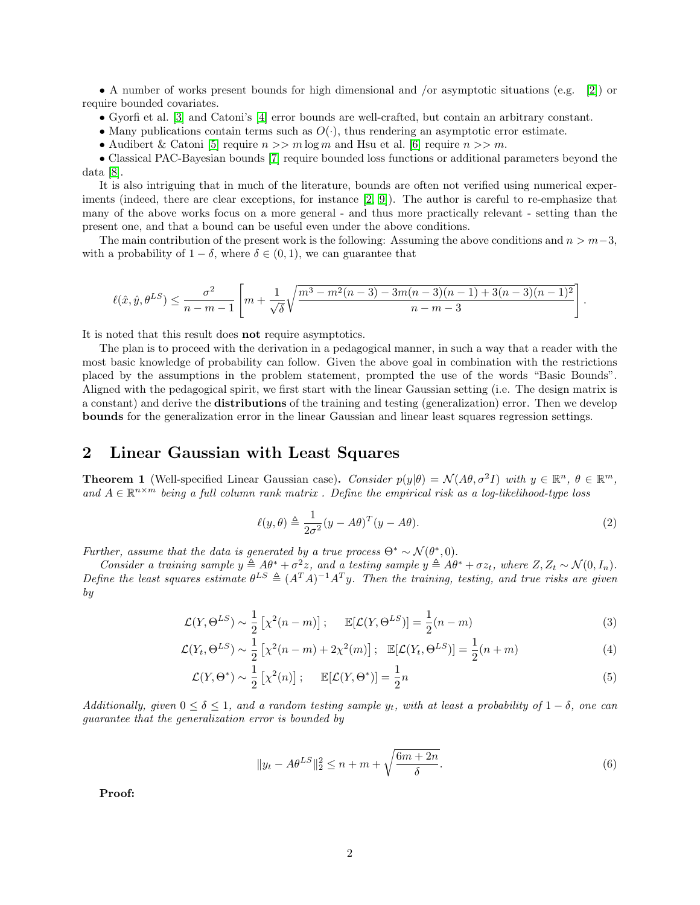• A number of works present bounds for high dimensional and /or asymptotic situations (e.g. [\[2\]](#page-8-1)) or require bounded covariates.

- Gyorfi et al. [\[3\]](#page-8-2) and Catoni's [\[4\]](#page-8-3) error bounds are well-crafted, but contain an arbitrary constant.
- Many publications contain terms such as  $O(·)$ , thus rendering an asymptotic error estimate.
- Audibert & Catoni [\[5\]](#page-8-4) require  $n >> m \log m$  and Hsu et al. [\[6\]](#page-8-5) require  $n >> m$ .

• Classical PAC-Bayesian bounds [\[7\]](#page-8-6) require bounded loss functions or additional parameters beyond the data [\[8\]](#page-8-7).

It is also intriguing that in much of the literature, bounds are often not verified using numerical experiments (indeed, there are clear exceptions, for instance [\[2,](#page-8-1) [9\]](#page-8-8)). The author is careful to re-emphasize that many of the above works focus on a more general - and thus more practically relevant - setting than the present one, and that a bound can be useful even under the above conditions.

The main contribution of the present work is the following: Assuming the above conditions and  $n > m-3$ , with a probability of  $1 - \delta$ , where  $\delta \in (0, 1)$ , we can guarantee that

$$
\ell(\hat{x}, \hat{y}, \theta^{LS}) \le \frac{\sigma^2}{n - m - 1} \left[ m + \frac{1}{\sqrt{\delta}} \sqrt{\frac{m^3 - m^2(n - 3) - 3m(n - 3)(n - 1) + 3(n - 3)(n - 1)^2}{n - m - 3}} \right]
$$

It is noted that this result does not require asymptotics.

The plan is to proceed with the derivation in a pedagogical manner, in such a way that a reader with the most basic knowledge of probability can follow. Given the above goal in combination with the restrictions placed by the assumptions in the problem statement, prompted the use of the words "Basic Bounds". Aligned with the pedagogical spirit, we first start with the linear Gaussian setting (i.e. The design matrix is a constant) and derive the distributions of the training and testing (generalization) error. Then we develop bounds for the generalization error in the linear Gaussian and linear least squares regression settings.

# 2 Linear Gaussian with Least Squares

**Theorem 1** (Well-specified Linear Gaussian case). Consider  $p(y|\theta) = \mathcal{N}(A\theta, \sigma^2 I)$  with  $y \in \mathbb{R}^n$ ,  $\theta \in \mathbb{R}^m$ , and  $A \in \mathbb{R}^{n \times m}$  being a full column rank matrix. Define the empirical risk as a log-likelihood-type loss

$$
\ell(y,\theta) \triangleq \frac{1}{2\sigma^2} (y - A\theta)^T (y - A\theta).
$$
\n(2)

.

Further, assume that the data is generated by a true process  $\Theta^* \sim \mathcal{N}(\theta^*, 0)$ .

Consider a training sample  $y \triangleq A\theta^* + \sigma^2 z$ , and a testing sample  $y \triangleq A\theta^* + \sigma z_t$ , where  $Z, Z_t \sim \mathcal{N}(0, I_n)$ . Define the least squares estimate  $\theta^{LS} \triangleq (A^T A)^{-1} A^T y$ . Then the training, testing, and true risks are given by

$$
\mathcal{L}(Y, \Theta^{LS}) \sim \frac{1}{2} \left[ \chi^2(n-m) \right]; \qquad \mathbb{E}[\mathcal{L}(Y, \Theta^{LS})] = \frac{1}{2}(n-m) \tag{3}
$$

$$
\mathcal{L}(Y_t, \Theta^{LS}) \sim \frac{1}{2} \left[ \chi^2(n-m) + 2\chi^2(m) \right]; \quad \mathbb{E}[\mathcal{L}(Y_t, \Theta^{LS})] = \frac{1}{2}(n+m) \tag{4}
$$

$$
\mathcal{L}(Y,\Theta^*) \sim \frac{1}{2} \left[ \chi^2(n) \right]; \qquad \mathbb{E}[\mathcal{L}(Y,\Theta^*)] = \frac{1}{2}n \tag{5}
$$

Additionally, given  $0 \le \delta \le 1$ , and a random testing sample y<sub>t</sub>, with at least a probability of  $1 - \delta$ , one can guarantee that the generalization error is bounded by

$$
||y_t - A\theta^{LS}||_2^2 \le n + m + \sqrt{\frac{6m + 2n}{\delta}}.
$$
\n
$$
(6)
$$

Proof: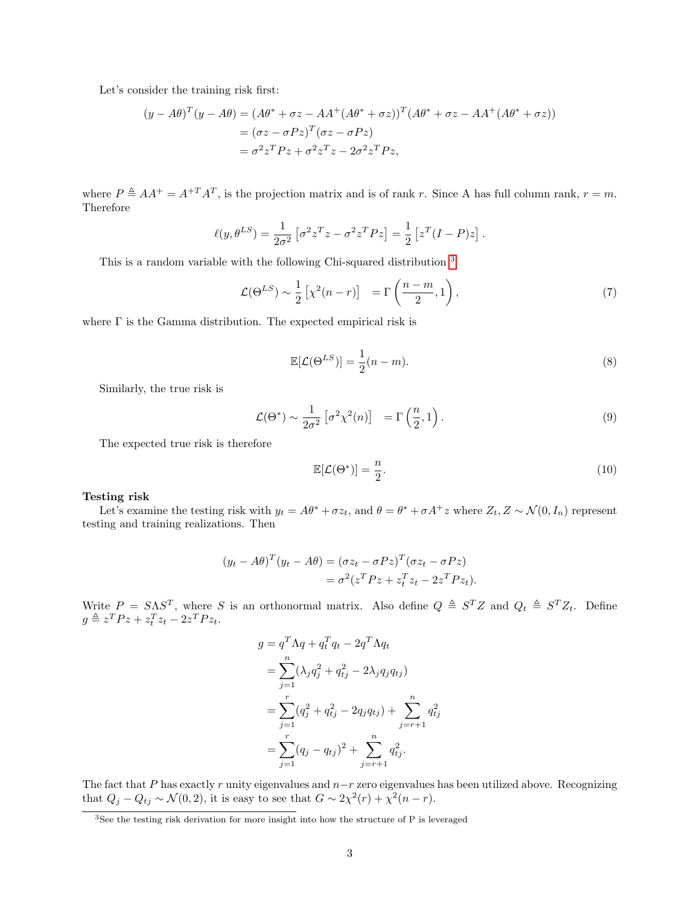Let's consider the training risk first:

$$
(y - A\theta)^{T} (y - A\theta) = (A\theta^{*} + \sigma z - AA^{+} (A\theta^{*} + \sigma z))^{T} (A\theta^{*} + \sigma z - AA^{+} (A\theta^{*} + \sigma z))
$$
  
=  $(\sigma z - \sigma Pz)^{T} (\sigma z - \sigma Pz)$   
=  $\sigma^{2} z^{T} P z + \sigma^{2} z^{T} z - 2\sigma^{2} z^{T} P z$ ,

where  $P \triangleq AA^+ = A^{+T}A^T$ , is the projection matrix and is of rank r. Since A has full column rank,  $r = m$ . Therefore

$$
\ell(y, \theta^{LS}) = \frac{1}{2\sigma^2} \left[ \sigma^2 z^T z - \sigma^2 z^T P z \right] = \frac{1}{2} \left[ z^T (I - P) z \right].
$$

This is a random variable with the following Chi-squared distribution  $^3$  $^3$ 

$$
\mathcal{L}(\Theta^{LS}) \sim \frac{1}{2} \left[ \chi^2(n-r) \right] = \Gamma\left(\frac{n-m}{2}, 1\right),\tag{7}
$$

where  $\Gamma$  is the Gamma distribution. The expected empirical risk is

$$
\mathbb{E}[\mathcal{L}(\Theta^{LS})] = \frac{1}{2}(n-m). \tag{8}
$$

Similarly, the true risk is

$$
\mathcal{L}(\Theta^*) \sim \frac{1}{2\sigma^2} \left[ \sigma^2 \chi^2(n) \right] = \Gamma\left(\frac{n}{2}, 1\right). \tag{9}
$$

The expected true risk is therefore

$$
\mathbb{E}[\mathcal{L}(\Theta^*)] = \frac{n}{2}.\tag{10}
$$

#### Testing risk

Let's examine the testing risk with  $y_t = A\theta^* + \sigma z_t$ , and  $\theta = \theta^* + \sigma A^+ z$  where  $Z_t, Z \sim \mathcal{N}(0, I_n)$  represent testing and training realizations. Then

$$
(y_t - A\theta)^T (y_t - A\theta) = (\sigma z_t - \sigma P z)^T (\sigma z_t - \sigma P z)
$$
  
=  $\sigma^2 (z^T P z + z_t^T z_t - 2z^T P z_t).$ 

Write  $P = S \Lambda S^{T}$ , where S is an orthonormal matrix. Also define  $Q \triangleq S^{T}Z$  and  $Q_t \triangleq S^{T}Z_t$ . Define  $g \triangleq z^T P z + z_t^T z_t - 2z^T P z_t.$ 

$$
g = q^T \Lambda q + q_t^T q_t - 2q^T \Lambda q_t
$$
  
= 
$$
\sum_{j=1}^n (\lambda_j q_j^2 + q_{tj}^2 - 2\lambda_j q_j q_{tj})
$$
  
= 
$$
\sum_{j=1}^r (q_j^2 + q_{tj}^2 - 2q_j q_{tj}) + \sum_{j=r+1}^n q_{tj}^2
$$
  
= 
$$
\sum_{j=1}^r (q_j - q_{tj})^2 + \sum_{j=r+1}^n q_{tj}^2.
$$

The fact that P has exactly r unity eigenvalues and  $n-r$  zero eigenvalues has been utilized above. Recognizing that  $Q_j - Q_{tj} \sim \mathcal{N}(0, 2)$ , it is easy to see that  $G \sim 2\chi^2(r) + \chi^2(n-r)$ .

<span id="page-2-0"></span><sup>&</sup>lt;sup>3</sup>See the testing risk derivation for more insight into how the structure of P is leveraged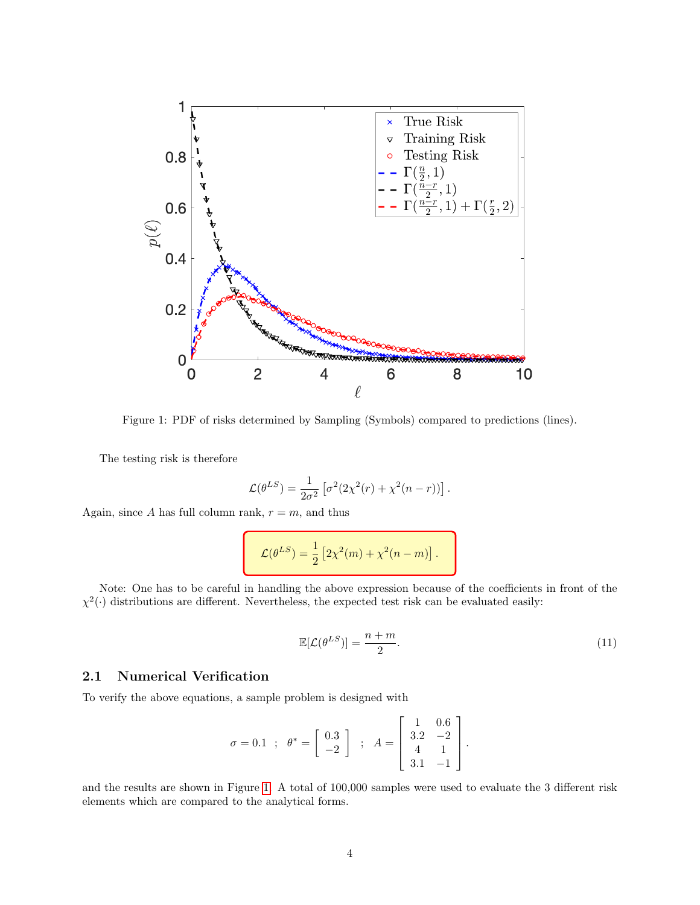<span id="page-3-0"></span>

Figure 1: PDF of risks determined by Sampling (Symbols) compared to predictions (lines).

The testing risk is therefore

$$
\mathcal{L}(\theta^{LS}) = \frac{1}{2\sigma^2} \left[ \sigma^2 (2\chi^2(r) + \chi^2(n-r)) \right].
$$

Again, since A has full column rank,  $r = m$ , and thus

$$
\mathcal{L}(\theta^{LS}) = \frac{1}{2} \left[ 2\chi^2(m) + \chi^2(n-m) \right].
$$

Note: One has to be careful in handling the above expression because of the coefficients in front of the  $\chi^2(\cdot)$  distributions are different. Nevertheless, the expected test risk can be evaluated easily:

$$
\mathbb{E}[\mathcal{L}(\theta^{LS})] = \frac{n+m}{2}.\tag{11}
$$

#### 2.1 Numerical Verification

To verify the above equations, a sample problem is designed with

$$
\sigma = 0.1 \; ; \; \theta^* = \left[ \begin{array}{c} 0.3 \\ -2 \end{array} \right] \; ; \; A = \left[ \begin{array}{ccc} 1 & 0.6 \\ 3.2 & -2 \\ 4 & 1 \\ 3.1 & -1 \end{array} \right].
$$

and the results are shown in Figure [1.](#page-3-0) A total of 100,000 samples were used to evaluate the 3 different risk elements which are compared to the analytical forms.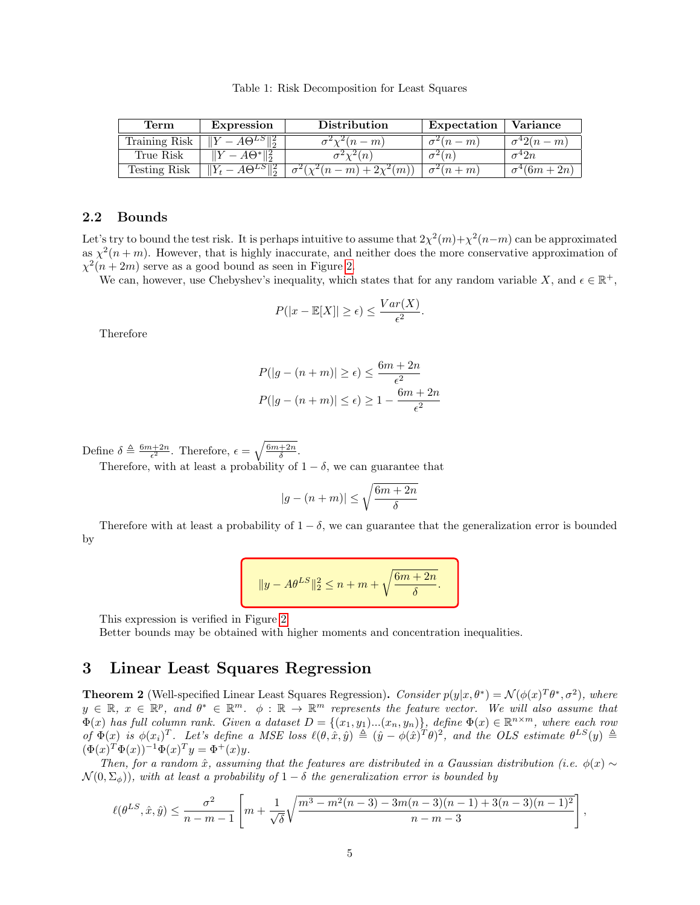Table 1: Risk Decomposition for Least Squares

| '1'erm        | Expression                       | Distribution         | Expectation  | Variance          |
|---------------|----------------------------------|----------------------|--------------|-------------------|
| Training Risk | $A\Theta^{L\delta}$ <sup>2</sup> | $\mathscr{L}(n-m)$   | $(n-m)$      | $\sigma^4 2(n-m)$ |
| True Risk     | $A\Theta^*$ $\mathbb{R}^2$       | $\overline{n}$       |              | 2n+               |
| Testing Risk  | $A\Theta^{LS}$ <sup>2</sup>      | $(n-m) + 2\chi^2(m)$ | $\zeta(n+m)$ | $(6m+2n)$         |

#### 2.2 Bounds

Let's try to bound the test risk. It is perhaps intuitive to assume that  $2\chi^2(m)+\chi^2(n-m)$  can be approximated as  $\chi^2(n+m)$ . However, that is highly inaccurate, and neither does the more conservative approximation of  $\chi^2(n+2m)$  serve as a good bound as seen in Figure [2.](#page-5-0)

We can, however, use Chebyshev's inequality, which states that for any random variable X, and  $\epsilon \in \mathbb{R}^+$ ,

$$
P(|x - \mathbb{E}[X]| \ge \epsilon) \le \frac{Var(X)}{\epsilon^2}.
$$

Therefore

$$
P(|g - (n + m)| \ge \epsilon) \le \frac{6m + 2n}{\epsilon^2}
$$

$$
P(|g - (n + m)| \le \epsilon) \ge 1 - \frac{6m + 2n}{\epsilon^2}
$$

Define  $\delta \triangleq \frac{6m+2n}{\epsilon^2}$ . Therefore,  $\epsilon = \sqrt{\frac{6m+2n}{\delta}}$ .

Therefore, with at least a probability of  $1 - \delta$ , we can guarantee that

$$
|g - (n+m)| \le \sqrt{\frac{6m+2n}{\delta}}
$$

Therefore with at least a probability of  $1 - \delta$ , we can guarantee that the generalization error is bounded by

$$
||y - A\theta^{LS}||_2^2 \le n + m + \sqrt{\frac{6m + 2n}{\delta}}.
$$

This expression is verified in Figure [2.](#page-5-0)

Better bounds may be obtained with higher moments and concentration inequalities.

# <span id="page-4-0"></span>3 Linear Least Squares Regression

**Theorem 2** (Well-specified Linear Least Squares Regression). Consider  $p(y|x, \theta^*) = \mathcal{N}(\phi(x)^T \theta^*, \sigma^2)$ , where  $y \in \mathbb{R}, x \in \mathbb{R}^p$ , and  $\theta^* \in \mathbb{R}^m$ .  $\phi : \mathbb{R} \to \mathbb{R}^m$  represents the feature vector. We will also assume that  $\Phi(x)$  has full column rank. Given a dataset  $D = \{(x_1, y_1)...(x_n, y_n)\}$ , define  $\Phi(x) \in \mathbb{R}^{n \times m}$ , where each row of  $\Phi(x)$  is  $\phi(x_i)^T$ . Let's define a MSE loss  $\ell(\theta, \hat{x}, \hat{y}) \triangleq (\hat{y} - \phi(\hat{x})^T \theta)^2$ , and the OLS estimate  $\theta^{LS}(y) \triangleq$  $(\Phi(x)^T \Phi(x))^{-1} \Phi(x)^T y = \Phi^+(x) y.$ 

Then, for a random  $\hat{x}$ , assuming that the features are distributed in a Gaussian distribution (i.e.  $\phi(x) \sim$  $\mathcal{N}(0, \Sigma_{\phi})$ , with at least a probability of  $1 - \delta$  the generalization error is bounded by

$$
\ell(\theta^{LS}, \hat{x}, \hat{y}) \le \frac{\sigma^2}{n - m - 1} \left[ m + \frac{1}{\sqrt{\delta}} \sqrt{\frac{m^3 - m^2(n - 3) - 3m(n - 3)(n - 1) + 3(n - 3)(n - 1)^2}{n - m - 3}} \right]
$$

,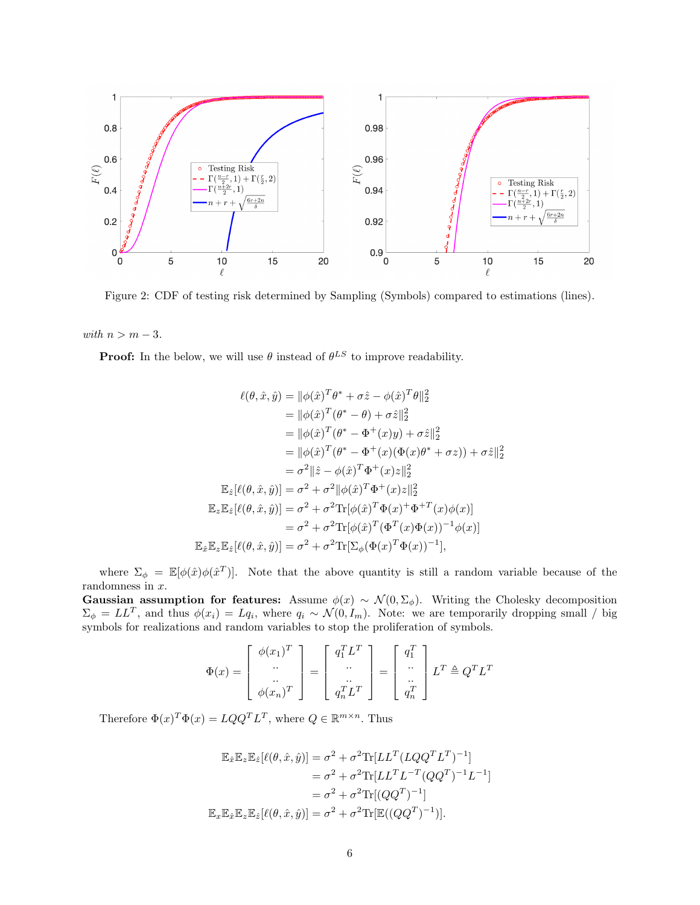<span id="page-5-0"></span>

Figure 2: CDF of testing risk determined by Sampling (Symbols) compared to estimations (lines).

with  $n > m - 3$ .

**Proof:** In the below, we will use  $\theta$  instead of  $\theta^{LS}$  to improve readability.

$$
\ell(\theta, \hat{x}, \hat{y}) = ||\phi(\hat{x})^T \theta^* + \sigma \hat{z} - \phi(\hat{x})^T \theta||_2^2
$$
  
\n
$$
= ||\phi(\hat{x})^T (\theta^* - \theta) + \sigma \hat{z}||_2^2
$$
  
\n
$$
= ||\phi(\hat{x})^T (\theta^* - \Phi^+(x)y) + \sigma \hat{z}||_2^2
$$
  
\n
$$
= ||\phi(\hat{x})^T (\theta^* - \Phi^+(x)(\Phi(x)\theta^* + \sigma z)) + \sigma \hat{z}||_2^2
$$
  
\n
$$
= \sigma^2 ||\hat{z} - \phi(\hat{x})^T \Phi^+(x)z||_2^2
$$
  
\n
$$
\mathbb{E}_{\hat{z}}[\ell(\theta, \hat{x}, \hat{y})] = \sigma^2 + \sigma^2 ||\phi(\hat{x})^T \Phi^+(x)z||_2^2
$$
  
\n
$$
\mathbb{E}_{\hat{z}}\mathbb{E}_{\hat{z}}[\ell(\theta, \hat{x}, \hat{y})] = \sigma^2 + \sigma^2 \text{Tr}[\phi(\hat{x})^T \Phi(x)^+ \Phi^{+T}(x)\phi(x)]
$$
  
\n
$$
= \sigma^2 + \sigma^2 \text{Tr}[\phi(\hat{x})^T (\Phi^T(x)\Phi(x))^{-1}\phi(x)]
$$
  
\n
$$
\mathbb{E}_{\hat{x}}\mathbb{E}_{z}\mathbb{E}_{\hat{z}}[\ell(\theta, \hat{x}, \hat{y})] = \sigma^2 + \sigma^2 \text{Tr}[\Sigma_{\phi}(\Phi(x)^T \Phi(x))^{-1}],
$$

where  $\Sigma_{\phi} = \mathbb{E}[\phi(\hat{x})\phi(\hat{x}^T)]$ . Note that the above quantity is still a random variable because of the randomness in  $x$ .

Gaussian assumption for features: Assume  $\phi(x) \sim \mathcal{N}(0, \Sigma_{\phi})$ . Writing the Cholesky decomposition  $\Sigma_{\phi} = LL^T$ , and thus  $\phi(x_i) = Lq_i$ , where  $q_i \sim \mathcal{N}(0, I_m)$ . Note: we are temporarily dropping small / big symbols for realizations and random variables to stop the proliferation of symbols.

$$
\Phi(x) = \begin{bmatrix} \phi(x_1)^T \\ \cdots \\ \phi(x_n)^T \end{bmatrix} = \begin{bmatrix} q_1^T L^T \\ \cdots \\ q_n^T L^T \end{bmatrix} = \begin{bmatrix} q_1^T \\ \cdots \\ q_n^T \end{bmatrix} L^T \triangleq Q^T L^T
$$

Therefore  $\Phi(x)^T \Phi(x) = LQQ^T L^T$ , where  $Q \in \mathbb{R}^{m \times n}$ . Thus

$$
\mathbb{E}_{\hat{x}}\mathbb{E}_{z}\mathbb{E}_{\hat{z}}[\ell(\theta,\hat{x},\hat{y})] = \sigma^2 + \sigma^2 \text{Tr}[LL^T (LQQ^T L^T)^{-1}]
$$
  
\n
$$
= \sigma^2 + \sigma^2 \text{Tr}[LL^T L^{-T} (QQ^T)^{-1} L^{-1}]
$$
  
\n
$$
= \sigma^2 + \sigma^2 \text{Tr}[(QQ^T)^{-1}]
$$
  
\n
$$
\mathbb{E}_{x}\mathbb{E}_{\hat{x}}\mathbb{E}_{z}\mathbb{E}_{\hat{z}}[\ell(\theta,\hat{x},\hat{y})] = \sigma^2 + \sigma^2 \text{Tr}[\mathbb{E}((QQ^T)^{-1})].
$$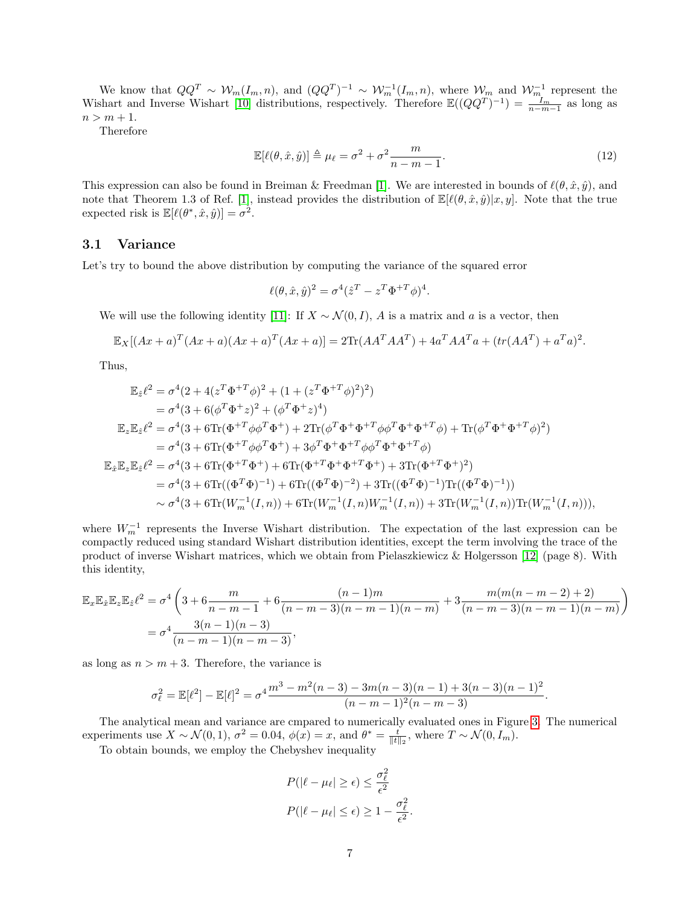We know that  $QQ^T \sim W_m(I_m, n)$ , and  $(QQ^T)^{-1} \sim W_m^{-1}(I_m, n)$ , where  $W_m$  and  $W_m^{-1}$  represent the Wishart and Inverse Wishart [\[10\]](#page-8-9) distributions, respectively. Therefore  $\mathbb{E}((QQ^T)^{-1}) = \frac{I_m}{n-m-1}$  as long as  $n > m + 1$ .

Therefore

$$
\mathbb{E}[\ell(\theta, \hat{x}, \hat{y})] \triangleq \mu_{\ell} = \sigma^2 + \sigma^2 \frac{m}{n - m - 1}.
$$
\n(12)

This expression can also be found in Breiman & Freedman [\[1\]](#page-8-0). We are interested in bounds of  $\ell(\theta, \hat{x}, \hat{y})$ , and note that Theorem 1.3 of Ref. [\[1\]](#page-8-0), instead provides the distribution of  $\mathbb{E}[\ell(\theta, \hat{x}, \hat{y})|x, y]$ . Note that the true expected risk is  $\mathbb{E}[\ell(\theta^*, \hat{x}, \hat{y})] = \sigma^2$ .

#### 3.1 Variance

Let's try to bound the above distribution by computing the variance of the squared error

$$
\ell(\theta, \hat{x}, \hat{y})^2 = \sigma^4 (\hat{z}^T - z^T \Phi^{+T} \phi)^4.
$$

We will use the following identity [\[11\]](#page-9-0): If  $X \sim \mathcal{N}(0, I)$ , A is a matrix and a is a vector, then

$$
\mathbb{E}_X[(Ax+a)^T(Ax+a)(Ax+a)^T(Ax+a)] = 2\text{Tr}(AA^TAA^T) + 4a^TAA^T a + (tr(AA^T) + a^T a)^2.
$$

Thus,

$$
\mathbb{E}_{\hat{z}}\ell^{2} = \sigma^{4}(2 + 4(z^{T}\Phi^{+T}\phi)^{2} + (1 + (z^{T}\Phi^{+T}\phi)^{2})^{2})
$$
\n
$$
= \sigma^{4}(3 + 6(\phi^{T}\Phi^{+}z)^{2} + (\phi^{T}\Phi^{+}z)^{4})
$$
\n
$$
\mathbb{E}_{z}\mathbb{E}_{\hat{z}}\ell^{2} = \sigma^{4}(3 + 6\text{Tr}(\Phi^{+T}\phi\phi^{T}\Phi^{+}) + 2\text{Tr}(\phi^{T}\Phi^{+}\Phi^{+T}\phi\phi^{T}\Phi^{+}\Phi^{+T}\phi) + \text{Tr}(\phi^{T}\Phi^{+}\Phi^{+T}\phi)^{2})
$$
\n
$$
= \sigma^{4}(3 + 6\text{Tr}(\Phi^{+T}\phi\phi^{T}\Phi^{+}) + 3\phi^{T}\Phi^{+}\Phi^{+T}\phi\phi^{T}\Phi^{+}\Phi^{+T}\phi)
$$
\n
$$
\mathbb{E}_{\hat{x}}\mathbb{E}_{z}\mathbb{E}_{\hat{z}}\ell^{2} = \sigma^{4}(3 + 6\text{Tr}(\Phi^{+T}\Phi^{+}) + 6\text{Tr}(\Phi^{+T}\Phi^{+}\Phi^{+} + 3\text{Tr}(\Phi^{+T}\Phi^{+})^{2})
$$
\n
$$
= \sigma^{4}(3 + 6\text{Tr}((\Phi^{T}\Phi)^{-1}) + 6\text{Tr}((\Phi^{T}\Phi)^{-2}) + 3\text{Tr}((\Phi^{T}\Phi)^{-1})\text{Tr}((\Phi^{T}\Phi)^{-1}))
$$
\n
$$
\sim \sigma^{4}(3 + 6\text{Tr}(W_{m}^{-1}(I, n)) + 6\text{Tr}(W_{m}^{-1}(I, n)W_{m}^{-1}(I, n)) + 3\text{Tr}(W_{m}^{-1}(I, n)\text{Tr}(W_{m}^{-1}(I, n))),
$$

where  $W_m^{-1}$  represents the Inverse Wishart distribution. The expectation of the last expression can be compactly reduced using standard Wishart distribution identities, except the term involving the trace of the product of inverse Wishart matrices, which we obtain from Pielaszkiewicz & Holgersson [\[12\]](#page-9-1) (page 8). With this identity,

$$
\mathbb{E}_x \mathbb{E}_{\hat{x}} \mathbb{E}_{\hat{z}} \mathbb{E}_{\hat{z}} \ell^2 = \sigma^4 \left( 3 + 6 \frac{m}{n-m-1} + 6 \frac{(n-1)m}{(n-m-3)(n-m-1)(n-m)} + 3 \frac{m(m(n-m-2)+2)}{(n-m-3)(n-m-1)(n-m)} \right)
$$
  
=  $\sigma^4 \frac{3(n-1)(n-3)}{(n-m-1)(n-m-3)},$ 

as long as  $n > m + 3$ . Therefore, the variance is

$$
\sigma_{\ell}^2 = \mathbb{E}[\ell^2] - \mathbb{E}[\ell]^2 = \sigma^4 \frac{m^3 - m^2(n-3) - 3m(n-3)(n-1) + 3(n-3)(n-1)^2}{(n-m-1)^2(n-m-3)}.
$$

The analytical mean and variance are cmpared to numerically evaluated ones in Figure [3.](#page-7-0) The numerical experiments use  $X \sim \mathcal{N}(0, 1)$ ,  $\sigma^2 = 0.04$ ,  $\phi(x) = x$ , and  $\theta^* = \frac{t}{\|t\|_2}$ , where  $T \sim \mathcal{N}(0, I_m)$ .

To obtain bounds, we employ the Chebyshev inequality

$$
P(|\ell - \mu_{\ell}| \ge \epsilon) \le \frac{\sigma_{\ell}^2}{\epsilon^2}
$$

$$
P(|\ell - \mu_{\ell}| \le \epsilon) \ge 1 - \frac{\sigma_{\ell}^2}{\epsilon^2}.
$$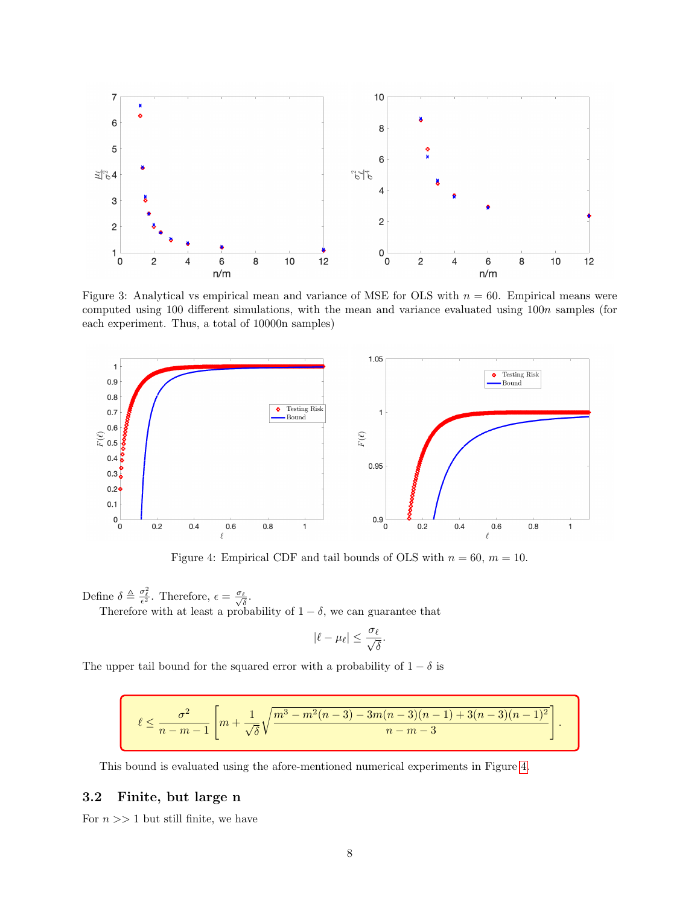<span id="page-7-0"></span>

Figure 3: Analytical vs empirical mean and variance of MSE for OLS with  $n = 60$ . Empirical means were computed using 100 different simulations, with the mean and variance evaluated using  $100n$  samples (for each experiment. Thus, a total of 10000n samples)

<span id="page-7-1"></span>

Figure 4: Empirical CDF and tail bounds of OLS with  $n = 60$ ,  $m = 10$ .

Define  $\delta \triangleq \frac{\sigma_{\ell}^2}{\epsilon^2}$ . Therefore,  $\epsilon = \frac{\sigma_{\ell}}{\sqrt{\delta}}$ .

Therefore with at least a probability of  $1 - \delta$ , we can guarantee that

$$
|\ell - \mu_\ell| \leq \frac{\sigma_\ell}{\sqrt{\delta}}.
$$

The upper tail bound for the squared error with a probability of  $1 - \delta$  is

$$
\ell \leq \frac{\sigma^2}{n-m-1}\left[m+\frac{1}{\sqrt{\delta}}\sqrt{\frac{m^3-m^2(n-3)-3m(n-3)(n-1)+3(n-3)(n-1)^2}{n-m-3}}\right].
$$

This bound is evaluated using the afore-mentioned numerical experiments in Figure [4.](#page-7-1)

#### 3.2 Finite, but large n

For  $n >> 1$  but still finite, we have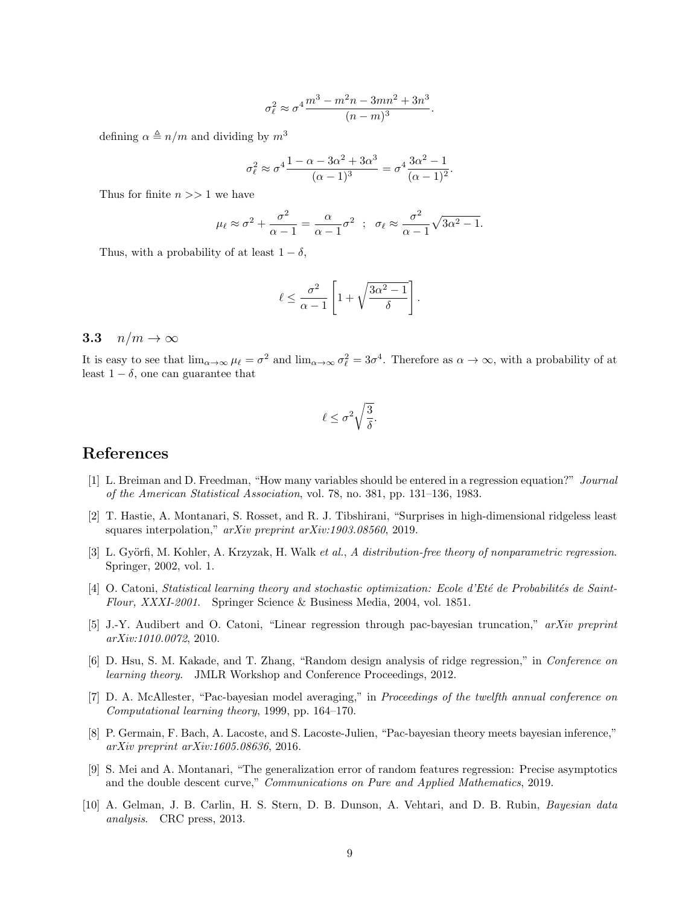$$
\sigma_{\ell}^2 \approx \sigma^4 \frac{m^3 - m^2 n - 3mn^2 + 3n^3}{(n-m)^3}.
$$

defining  $\alpha \triangleq n/m$  and dividing by  $m^3$ 

$$
\sigma_{\ell}^{2} \approx \sigma^{4} \frac{1 - \alpha - 3\alpha^{2} + 3\alpha^{3}}{(\alpha - 1)^{3}} = \sigma^{4} \frac{3\alpha^{2} - 1}{(\alpha - 1)^{2}}.
$$

Thus for finite  $n >> 1$  we have

$$
\mu_{\ell} \approx \sigma^2 + \frac{\sigma^2}{\alpha - 1} = \frac{\alpha}{\alpha - 1} \sigma^2 \; ; \; \sigma_{\ell} \approx \frac{\sigma^2}{\alpha - 1} \sqrt{3\alpha^2 - 1}.
$$

Thus, with a probability of at least  $1 - \delta$ ,

$$
\ell \leq \frac{\sigma^2}{\alpha - 1} \left[ 1 + \sqrt{\frac{3\alpha^2 - 1}{\delta}} \right].
$$

#### 3.3  $n/m \rightarrow \infty$

It is easy to see that  $\lim_{\alpha\to\infty}\mu_{\ell}=\sigma^2$  and  $\lim_{\alpha\to\infty}\sigma_{\ell}^2=3\sigma^4$ . Therefore as  $\alpha\to\infty$ , with a probability of at least  $1 - \delta$ , one can guarantee that

$$
\ell \leq \sigma^2 \sqrt{\frac{3}{\delta}}.
$$

# References

- <span id="page-8-0"></span>[1] L. Breiman and D. Freedman, "How many variables should be entered in a regression equation?" Journal of the American Statistical Association, vol. 78, no. 381, pp. 131–136, 1983.
- <span id="page-8-1"></span>[2] T. Hastie, A. Montanari, S. Rosset, and R. J. Tibshirani, "Surprises in high-dimensional ridgeless least squares interpolation," *arXiv preprint arXiv:1903.08560*, 2019.
- <span id="page-8-2"></span>[3] L. Györfi, M. Kohler, A. Krzyzak, H. Walk et al., A distribution-free theory of nonparametric regression. Springer, 2002, vol. 1.
- <span id="page-8-3"></span>[4] O. Catoni, Statistical learning theory and stochastic optimization: Ecole d'Eté de Probabilités de Saint-Flour, XXXI-2001. Springer Science & Business Media, 2004, vol. 1851.
- <span id="page-8-4"></span>[5] J.-Y. Audibert and O. Catoni, "Linear regression through pac-bayesian truncation," arXiv preprint arXiv:1010.0072, 2010.
- <span id="page-8-5"></span>[6] D. Hsu, S. M. Kakade, and T. Zhang, "Random design analysis of ridge regression," in Conference on learning theory. JMLR Workshop and Conference Proceedings, 2012.
- <span id="page-8-6"></span>[7] D. A. McAllester, "Pac-bayesian model averaging," in Proceedings of the twelfth annual conference on Computational learning theory, 1999, pp. 164–170.
- <span id="page-8-7"></span>[8] P. Germain, F. Bach, A. Lacoste, and S. Lacoste-Julien, "Pac-bayesian theory meets bayesian inference," arXiv preprint arXiv:1605.08636, 2016.
- <span id="page-8-8"></span>[9] S. Mei and A. Montanari, "The generalization error of random features regression: Precise asymptotics and the double descent curve," Communications on Pure and Applied Mathematics, 2019.
- <span id="page-8-9"></span>[10] A. Gelman, J. B. Carlin, H. S. Stern, D. B. Dunson, A. Vehtari, and D. B. Rubin, Bayesian data analysis. CRC press, 2013.